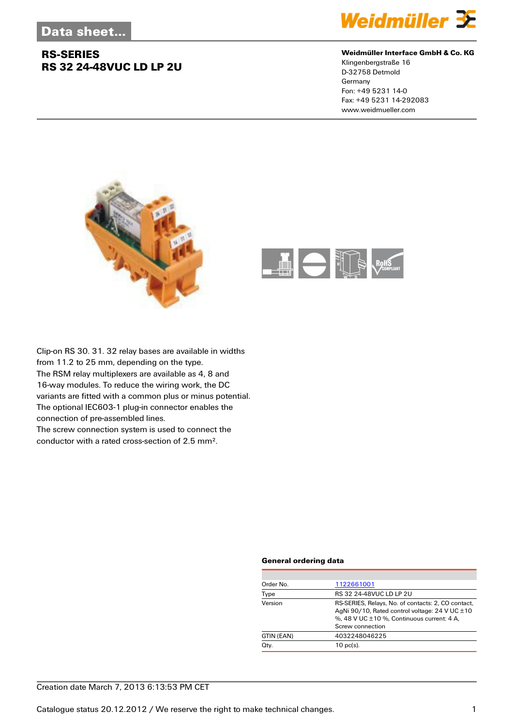

#### **Weidmüller Interface GmbH & Co. KG**

Klingenbergstraße 16 D-32758 Detmold Germany Fon: +49 5231 14-0 Fax: +49 5231 14-292083 www.weidmueller.com





Clip-on RS 30. 31. 32 relay bases are available in widths from 11.2 to 25 mm, depending on the type. The RSM relay multiplexers are available as 4, 8 and 16-way modules. To reduce the wiring work, the DC variants are fitted with a common plus or minus potential. The optional IEC603-1 plug-in connector enables the connection of pre-assembled lines. The screw connection system is used to connect the

conductor with a rated cross-section of 2.5 mm².

#### **General ordering data**

| Order No.  | 1122661001                                                                                                                                                                  |
|------------|-----------------------------------------------------------------------------------------------------------------------------------------------------------------------------|
| Type       | RS 32 24-48VUC LD LP 2U                                                                                                                                                     |
| Version    | RS-SERIES, Relays, No. of contacts: 2, CO contact,<br>AgNi 90/10, Rated control voltage: 24 V UC $\pm$ 10<br>%, 48 V UC ±10 %, Continuous current: 4 A,<br>Screw connection |
| GTIN (EAN) | 4032248046225                                                                                                                                                               |
| Qty.       | $10$ pc(s).                                                                                                                                                                 |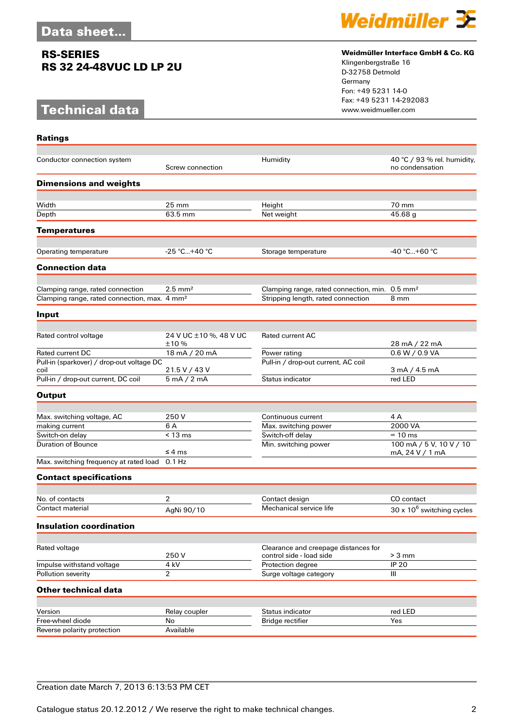# **Technical data**

**Ratings**



#### **Weidmüller Interface GmbH & Co. KG**

Klingenbergstraße 16 D-32758 Detmold Germany Fon: +49 5231 14-0 Fax: +49 5231 14-292083

| Conductor connection system                              | Screw connection       | Humidity                                                         | 40 °C / 93 % rel. humidity,<br>no condensation |
|----------------------------------------------------------|------------------------|------------------------------------------------------------------|------------------------------------------------|
| <b>Dimensions and weights</b>                            |                        |                                                                  |                                                |
|                                                          |                        |                                                                  |                                                |
| Width                                                    | 25 mm                  | Height                                                           | 70 mm                                          |
| Depth                                                    | 63.5 mm                | Net weight                                                       | 45.68 g                                        |
| <b>Temperatures</b>                                      |                        |                                                                  |                                                |
| Operating temperature                                    | $-25 °C+40 °C$         | Storage temperature                                              | -40 °C+60 °C                                   |
|                                                          |                        |                                                                  |                                                |
| <b>Connection data</b>                                   |                        |                                                                  |                                                |
| Clamping range, rated connection                         | $2.5 \text{ mm}^2$     | Clamping range, rated connection, min. 0.5 mm <sup>2</sup>       |                                                |
| Clamping range, rated connection, max. 4 mm <sup>2</sup> |                        | Stripping length, rated connection                               | 8 mm                                           |
| Input                                                    |                        |                                                                  |                                                |
|                                                          |                        |                                                                  |                                                |
| Rated control voltage                                    | 24 V UC ±10 %, 48 V UC | <b>Rated current AC</b>                                          |                                                |
|                                                          | ±10 %                  |                                                                  | 28 mA / 22 mA                                  |
| <b>Rated current DC</b>                                  | 18 mA / 20 mA          | Power rating                                                     | 0.6 W / 0.9 VA                                 |
| Pull-in (sparkover) / drop-out voltage DC<br>coil        | 21.5 V / 43 V          | Pull-in / drop-out current, AC coil                              | $3 \text{ mA} / 4.5 \text{ mA}$                |
| Pull-in / drop-out current, DC coil                      | 5 mA / 2 mA            | Status indicator                                                 | red LED                                        |
| <b>Output</b>                                            |                        |                                                                  |                                                |
|                                                          |                        |                                                                  |                                                |
| Max. switching voltage, AC                               | 250 V                  | Continuous current                                               | 4 A                                            |
| making current                                           | 6 A                    | Max. switching power                                             | 2000 VA                                        |
| Switch-on delay                                          | $< 13 \text{ ms}$      | Switch-off delay                                                 | $= 10$ ms                                      |
| <b>Duration of Bounce</b>                                | ≤ 4 ms                 | Min. switching power                                             | 100 mA / 5 V, 10 V / 10<br>mA, 24 V / 1 mA     |
| Max. switching frequency at rated load                   | $0.1$ Hz               |                                                                  |                                                |
| <b>Contact specifications</b>                            |                        |                                                                  |                                                |
|                                                          |                        |                                                                  |                                                |
| No. of contacts                                          | $\overline{2}$         | Contact design                                                   | CO contact                                     |
| Contact material                                         | AgNi 90/10             | Mechanical service life                                          | $30 \times 10^6$ switching cycles              |
| Insulation coordination                                  |                        |                                                                  |                                                |
|                                                          |                        |                                                                  |                                                |
| Rated voltage                                            | 250V                   | Clearance and creepage distances for<br>control side - load side | $> 3$ mm                                       |
| Impulse withstand voltage                                | 4 kV                   | Protection degree                                                | <b>IP 20</b>                                   |
| Pollution severity                                       | 2                      | Surge voltage category                                           | Ш                                              |
| <b>Other technical data</b>                              |                        |                                                                  |                                                |
|                                                          |                        |                                                                  |                                                |
| Version                                                  | Relay coupler          | Status indicator                                                 | red LED                                        |
| Free-wheel diode                                         | No                     | <b>Bridge rectifier</b>                                          | Yes                                            |
| Reverse polarity protection                              | Available              |                                                                  |                                                |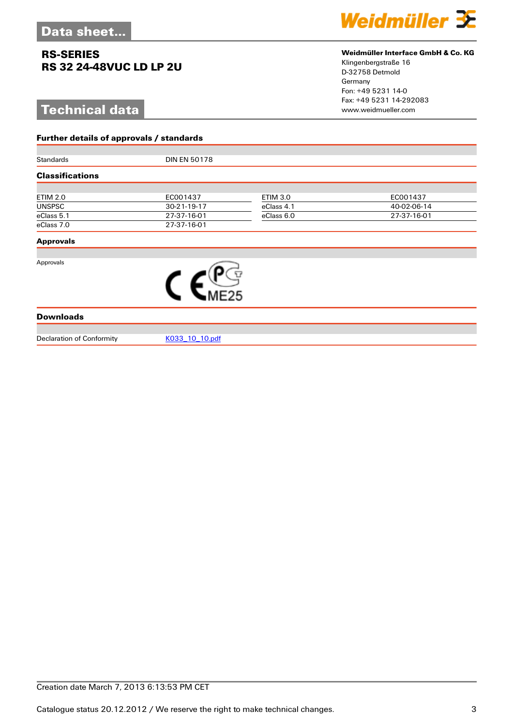**Further details of approvals / standards**

# **Technical data**



### **Weidmüller Interface GmbH & Co. KG**

Klingenbergstraße 16 D-32758 Detmold Germany Fon: +49 5231 14-0 Fax: +49 5231 14-292083

| Standards                        | <b>DIN EN 50178</b> |                 |             |  |  |  |
|----------------------------------|---------------------|-----------------|-------------|--|--|--|
| <b>Classifications</b>           |                     |                 |             |  |  |  |
|                                  |                     |                 |             |  |  |  |
| <b>ETIM 2.0</b>                  | EC001437            | <b>ETIM 3.0</b> | EC001437    |  |  |  |
| <b>UNSPSC</b>                    | 30-21-19-17         | eClass 4.1      | 40-02-06-14 |  |  |  |
| eClass 5.1                       | 27-37-16-01         | eClass 6.0      | 27-37-16-01 |  |  |  |
| eClass 7.0                       | 27-37-16-01         |                 |             |  |  |  |
| <b>Approvals</b>                 |                     |                 |             |  |  |  |
|                                  |                     |                 |             |  |  |  |
| Approvals                        |                     |                 |             |  |  |  |
|                                  |                     |                 |             |  |  |  |
|                                  |                     |                 |             |  |  |  |
|                                  |                     |                 |             |  |  |  |
| <b>Downloads</b>                 |                     |                 |             |  |  |  |
|                                  |                     |                 |             |  |  |  |
| <b>Declaration of Conformity</b> | K033 10 10.pdf      |                 |             |  |  |  |

Creation date March 7, 2013 6:13:53 PM CET